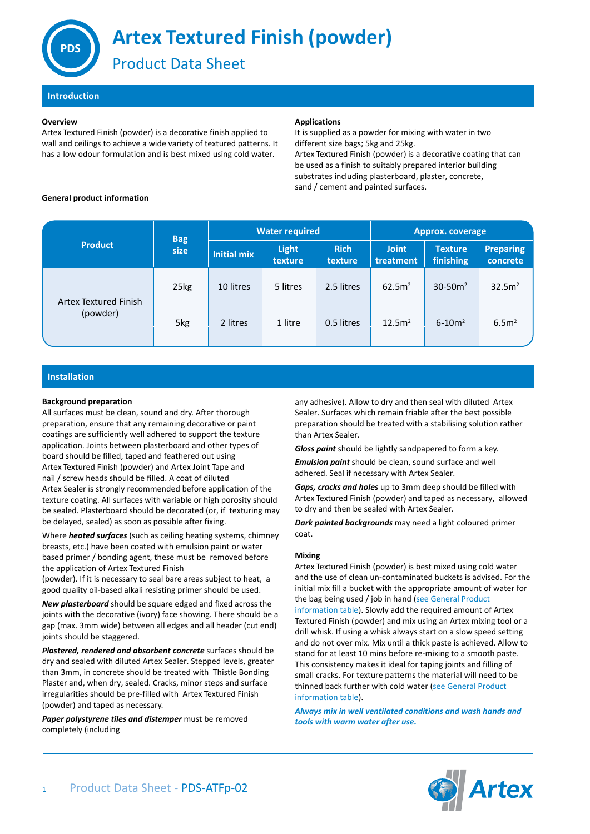

# **Artex Textured Finish (powder)**

Product Data Sheet

**Introduction**

## **Overview**

Artex Textured Finish (powder) is a decorative finish applied to wall and ceilings to achieve a wide variety of textured patterns. It has a low odour formulation and is best mixed using cold water.

## **Applications**

It is supplied as a powder for mixing with water in two different size bags; 5kg and 25kg. Artex Textured Finish (powder) is a decorative coating that can be used as a finish to suitably prepared interior building substrates including plasterboard, plaster, concrete,

sand / cement and painted surfaces.

# **General product information**

| <b>Product</b>                    | <b>Bag</b><br>size | <b>Water required</b> |                         |                        | Approx. coverage          |                             |                              |
|-----------------------------------|--------------------|-----------------------|-------------------------|------------------------|---------------------------|-----------------------------|------------------------------|
|                                   |                    | <b>Initial mix</b>    | <b>Light</b><br>texture | <b>Rich</b><br>texture | <b>Joint</b><br>treatment | <b>Texture</b><br>finishing | <b>Preparing</b><br>concrete |
| Artex Textured Finish<br>(powder) | 25kg               | 10 litres             | 5 litres                | 2.5 litres             | 62.5m <sup>2</sup>        | $30 - 50m^2$                | 32.5m <sup>2</sup>           |
|                                   | 5kg                | 2 litres              | 1 litre                 | 0.5 litres             | 12.5m <sup>2</sup>        | $6 - 10m^2$                 | 6.5 <sup>2</sup>             |

# **Installation**

## **Background preparation**

All surfaces must be clean, sound and dry. After thorough preparation, ensure that any remaining decorative or paint coatings are sufficiently well adhered to support the texture application. Joints between plasterboard and other types of board should be filled, taped and feathered out using Artex Textured Finish (powder) and Artex Joint Tape and nail / screw heads should be filled. A coat of diluted Artex Sealer is strongly recommended before application of the texture coating. All surfaces with variable or high porosity should be sealed. Plasterboard should be decorated (or, if texturing may be delayed, sealed) as soon as possible after fixing.

Where *heated surfaces* (such as ceiling heating systems, chimney breasts, etc.) have been coated with emulsion paint or water based primer / bonding agent, these must be removed before the application of Artex Textured Finish

(powder). If it is necessary to seal bare areas subject to heat, a good quality oil-based alkali resisting primer should be used.

*New plasterboard* should be square edged and fixed across the joints with the decorative (ivory) face showing. There should be a gap (max. 3mm wide) between all edges and all header (cut end) joints should be staggered.

*Plastered, rendered and absorbent concrete* surfaces should be dry and sealed with diluted Artex Sealer. Stepped levels, greater than 3mm, in concrete should be treated with Thistle Bonding Plaster and, when dry, sealed. Cracks, minor steps and surface irregularities should be pre-filled with Artex Textured Finish (powder) and taped as necessary.

*Paper polystyrene tiles and distemper* must be removed completely (including

any adhesive). Allow to dry and then seal with diluted Artex Sealer. Surfaces which remain friable after the best possible preparation should be treated with a stabilising solution rather than Artex Sealer.

*Gloss paint* should be lightly sandpapered to form a key.

*Emulsion paint* should be clean, sound surface and well adhered. Seal if necessary with Artex Sealer.

*Gaps, cracks and holes* up to 3mm deep should be filled with Artex Textured Finish (powder) and taped as necessary, allowed to dry and then be sealed with Artex Sealer.

*Dark painted backgrounds* may need a light coloured primer coat.

# **Mixing**

Artex Textured Finish (powder) is best mixed using cold water and the use of clean un-contaminated buckets is advised. For the initial mix fill a bucket with the appropriate amount of water for the bag being used / job in hand (see General Product information table). Slowly add the required amount of Artex Textured Finish (powder) and mix using an Artex mixing tool or a drill whisk. If using a whisk always start on a slow speed setting and do not over mix. Mix until a thick paste is achieved. Allow to stand for at least 10 mins before re-mixing to a smooth paste. This consistency makes it ideal for taping joints and filling of small cracks. For texture patterns the material will need to be thinned back further with cold water (see General Product information table).

*Always mix in well ventilated conditions and wash hands and tools with warm water after use.*

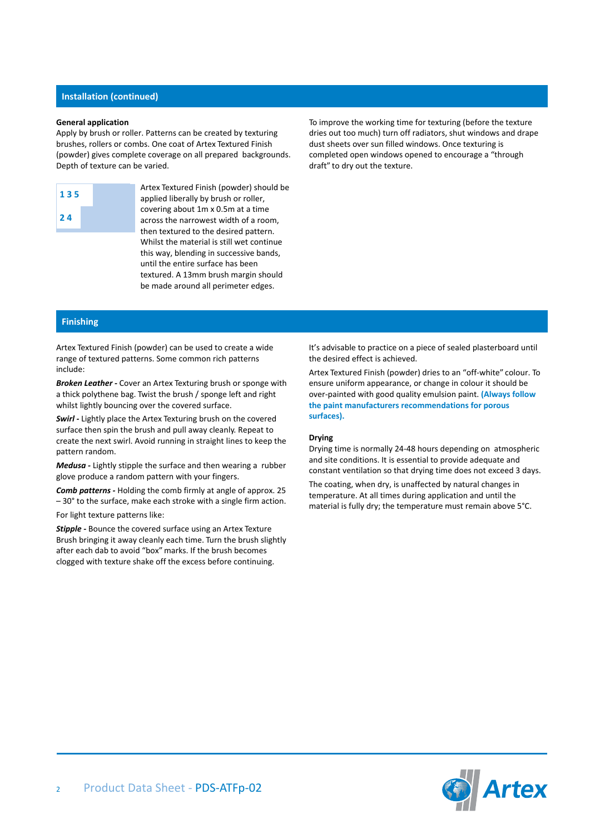## **Installation (continued)**

#### **General application**

Apply by brush or roller. Patterns can be created by texturing brushes, rollers or combs. One coat of Artex Textured Finish (powder) gives complete coverage on all prepared backgrounds. Depth of texture can be varied.

| 135 |  |
|-----|--|
| 24  |  |

Artex Textured Finish (powder) should be applied liberally by brush or roller, covering about 1m x 0.5m at a time across the narrowest width of a room, then textured to the desired pattern. Whilst the material is still wet continue this way, blending in successive bands, until the entire surface has been textured. A 13mm brush margin should be made around all perimeter edges.

To improve the working time for texturing (before the texture dries out too much) turn off radiators, shut windows and drape dust sheets over sun filled windows. Once texturing is completed open windows opened to encourage a "through draft" to dry out the texture.

# **Finishing**

Artex Textured Finish (powder) can be used to create a wide range of textured patterns. Some common rich patterns include:

*Broken Leather -* Cover an Artex Texturing brush or sponge with a thick polythene bag. Twist the brush / sponge left and right whilst lightly bouncing over the covered surface.

*Swirl -* Lightly place the Artex Texturing brush on the covered surface then spin the brush and pull away cleanly. Repeat to create the next swirl. Avoid running in straight lines to keep the pattern random.

*Medusa -* Lightly stipple the surface and then wearing a rubber glove produce a random pattern with your fingers.

*Comb patterns -* Holding the comb firmly at angle of approx. 25 – 30° to the surface, make each stroke with a single firm action.

For light texture patterns like:

*Stipple -* Bounce the covered surface using an Artex Texture Brush bringing it away cleanly each time. Turn the brush slightly after each dab to avoid "box" marks. If the brush becomes clogged with texture shake off the excess before continuing.

It's advisable to practice on a piece of sealed plasterboard until the desired effect is achieved.

Artex Textured Finish (powder) dries to an "off-white" colour. To ensure uniform appearance, or change in colour it should be over-painted with good quality emulsion paint. **(Always follow the paint manufacturers recommendations for porous surfaces).**

### **Drying**

Drying time is normally 24-48 hours depending on atmospheric and site conditions. It is essential to provide adequate and constant ventilation so that drying time does not exceed 3 days. The coating, when dry, is unaffected by natural changes in temperature. At all times during application and until the material is fully dry; the temperature must remain above 5°C.